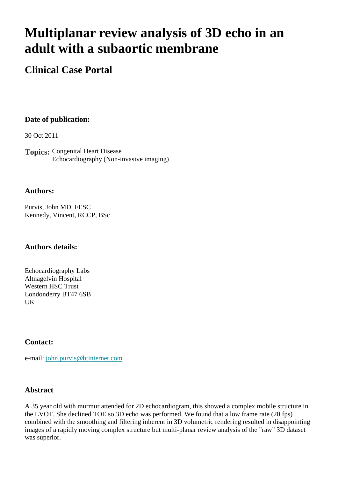# **Multiplanar review analysis of 3D echo in an adult with a subaortic membrane**

# **Clinical Case Portal**

# **Date of publication:**

30 Oct 2011

**Topics:** Congenital Heart Disease Echocardiography (Non-invasive imaging)

#### **Authors:**

Purvis, John MD, FESC Kennedy, Vincent, RCCP, BSc

#### **Authors details:**

Echocardiography Labs Altnagelvin Hospital Western HSC Trust Londonderry BT47 6SB UK

# **Contact:**

e-mail: [john.purvis@btinternet.com](mailto:john.purvis@btinternet.com)

# **Abstract**

A 35 year old with murmur attended for 2D echocardiogram, this showed a complex mobile structure in the LVOT. She declined TOE so 3D echo was performed. We found that a low frame rate (20 fps) combined with the smoothing and filtering inherent in 3D volumetric rendering resulted in disappointing images of a rapidly moving complex structure but multi-planar review analysis of the "raw" 3D dataset was superior.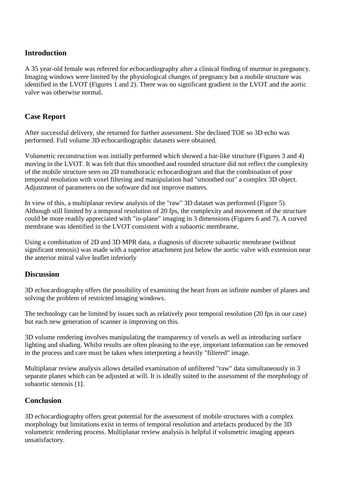#### **Introduction**

A 35 year-old female was referred for echocardiography after a clinical finding of murmur in pregnancy. Imaging windows were limited by the physiological changes of pregnancy but a mobile structure was identified in the LVOT (Figures 1 and 2). There was no significant gradient in the LVOT and the aortic valve was otherwise normal.

### **Case Report**

After successful delivery, she returned for further assessment. She declined TOE so 3D echo was performed. Full volume 3D echocardiographic datasets were obtained.

Volumetric reconstruction was initially performed which showed a bar-like structure (Figures 3 and 4) moving in the LVOT. It was felt that this smoothed and rounded structure did not reflect the complexity of the mobile structure seen on 2D transthoracic echocardiogram and that the combination of poor temporal resolution with voxel filtering and manipulation had "smoothed out" a complex 3D object. Adjustment of parameters on the software did not improve matters.

In view of this, a multiplanar review analysis of the "raw" 3D dataset was performed (Figure 5). Although still limited by a temporal resolution of 20 fps, the complexity and movement of the structure could be more readily appreciated with "in-plane" imaging in 3 dimensions (Figures 6 and 7). A curved membrane was identified in the LVOT consistent with a subaortic membrame,

Using a combination of 2D and 3D MPR data, a diagnosis of discrete subaortic membrane (without significant stenosis) was made with a superior attachment just below the aortic valve with extension near the anterior mitral valve leaflet inferiorly

#### **Discussion**

3D echocardiography offers the possibility of examining the heart from an infinite number of planes and solving the problem of restricted imaging windows.

The technology can be limited by issues such as relatively poor temporal resolution (20 fps in our case) but each new generation of scanner is improving on this.

3D volume rendering involves manipulating the transparency of voxels as well as introducing surface lighting and shading. Whilst results are often pleasing to the eye, important information can be removed in the process and care must be taken when interpreting a heavily "filtered" image.

Multiplanar review analysis allows detailed examination of unfiltered "raw" data simultaneously in 3 separate planes which can be adjusted at will. It is ideally suited to the assessment of the morphology of subaortic stenosis [1].

#### **Conclusion**

3D echocardiography offers great potential for the assessment of mobile structures with a complex morphology but limitations exist in terms of temporal resolution and artefacts produced by the 3D volumetric rendering process. Multiplanar review analysis is helpful if volumetric imaging appears unsatisfactory.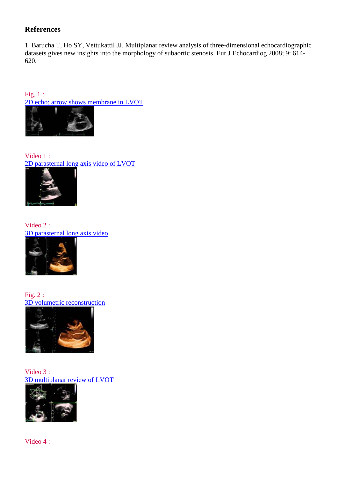# **References**

1. Barucha T, Ho SY, Vettukattil JJ. Multiplanar review analysis of three-dimensional echocardiographic datasets gives new insights into the morphology of subaortic stenosis. Eur J Echocardiog 2008; 9: 614- 620.

Fig. 1 : [2D echo: arrow shows membrane in LVOT](http://www.escardio.org/communities/EACVI/CasePortal/EAECasePictures/8bd8bf4a-2bc1-4383-8cac-3286bee4b596/Figure%203.jpg)



Video 1 : [2D parasternal long axis video of LVOT](http://www.youtube.com/watch?v=L5ScAPm-7o8)



Video 2 : [3D parasternal long axis video](http://www.youtube.com/watch?v=WxlyVJO7zOI)



Fig. 2 : [3D volumetric reconstruction](http://www.escardio.org/communities/EACVI/CasePortal/EAECasePictures/8bd8bf4a-2bc1-4383-8cac-3286bee4b596/Figure%204a.jpg)



Video 3 : [3D multiplanar review of LVOT](http://www.youtube.com/watch?v=Dk1gEtWUdvY)



Video 4 :